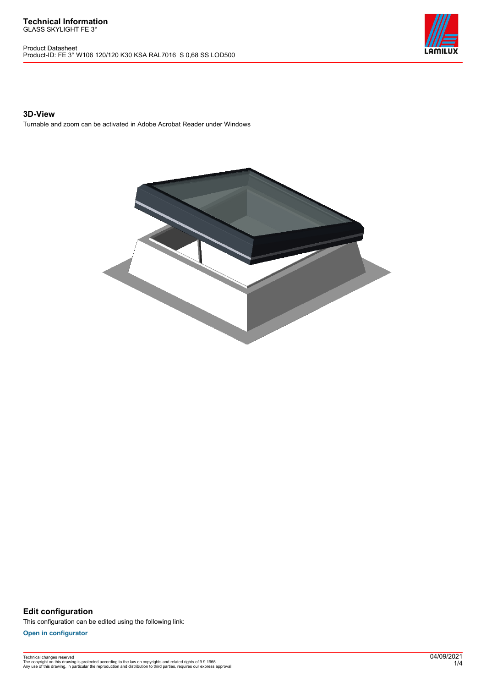Product Datasheet Product-ID: FE 3° W106 120/120 K30 KSA RAL7016 S 0,68 SS LOD500



### **3D-View**

Turnable and zoom can be activated in Adobe Acrobat Reader under Windows



**Edit configuration** This configuration can be edited using the following link:

**[Open in configurator](https://bimconfig.lamilux.com//?quickcode=HAYURI)**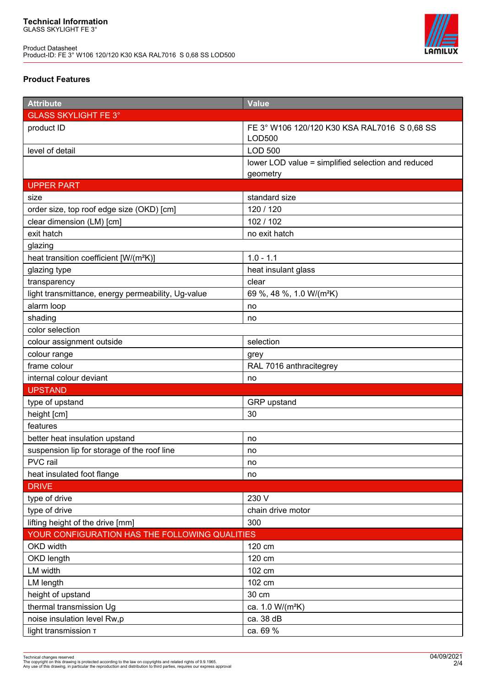

## **Product Features**

| <b>Attribute</b>                                   | Value                                              |  |
|----------------------------------------------------|----------------------------------------------------|--|
| <b>GLASS SKYLIGHT FE 3°</b>                        |                                                    |  |
| product ID                                         | FE 3° W106 120/120 K30 KSA RAL7016 S 0.68 SS       |  |
|                                                    | <b>LOD500</b>                                      |  |
| level of detail                                    | <b>LOD 500</b>                                     |  |
|                                                    | lower LOD value = simplified selection and reduced |  |
|                                                    | geometry                                           |  |
| <b>UPPER PART</b>                                  |                                                    |  |
| size                                               | standard size                                      |  |
| order size, top roof edge size (OKD) [cm]          | 120 / 120                                          |  |
| clear dimension (LM) [cm]                          | 102 / 102                                          |  |
| exit hatch                                         | no exit hatch                                      |  |
| glazing                                            |                                                    |  |
| heat transition coefficient [W/(m <sup>2</sup> K)] | $1.0 - 1.1$                                        |  |
| glazing type                                       | heat insulant glass                                |  |
| transparency                                       | clear                                              |  |
| light transmittance, energy permeability, Ug-value | 69 %, 48 %, 1.0 W/(m <sup>2</sup> K)               |  |
| alarm loop                                         | no                                                 |  |
| shading                                            | no                                                 |  |
| color selection                                    |                                                    |  |
| colour assignment outside                          | selection                                          |  |
| colour range                                       | grey                                               |  |
| frame colour                                       | RAL 7016 anthracitegrey                            |  |
| internal colour deviant                            | no                                                 |  |
| <b>UPSTAND</b>                                     |                                                    |  |
| type of upstand                                    | GRP upstand                                        |  |
| height [cm]                                        | 30                                                 |  |
| features                                           |                                                    |  |
| better heat insulation upstand                     | no                                                 |  |
| suspension lip for storage of the roof line        | no                                                 |  |
| PVC rail                                           | no                                                 |  |
| heat insulated foot flange                         | no                                                 |  |
| <b>DRIVE</b>                                       |                                                    |  |
| type of drive                                      | 230 V                                              |  |
| type of drive                                      | chain drive motor                                  |  |
| lifting height of the drive [mm]                   | 300                                                |  |
| YOUR CONFIGURATION HAS THE FOLLOWING QUALITIES     |                                                    |  |
| OKD width                                          | 120 cm                                             |  |
| OKD length                                         | 120 cm                                             |  |
| LM width                                           | 102 cm                                             |  |
| LM length                                          | 102 cm                                             |  |
| height of upstand                                  | 30 cm                                              |  |
| thermal transmission Ug                            | ca. 1.0 W/(m <sup>2</sup> K)                       |  |
| noise insulation level Rw,p                        | ca. 38 dB                                          |  |
| light transmission T                               | ca. 69 %                                           |  |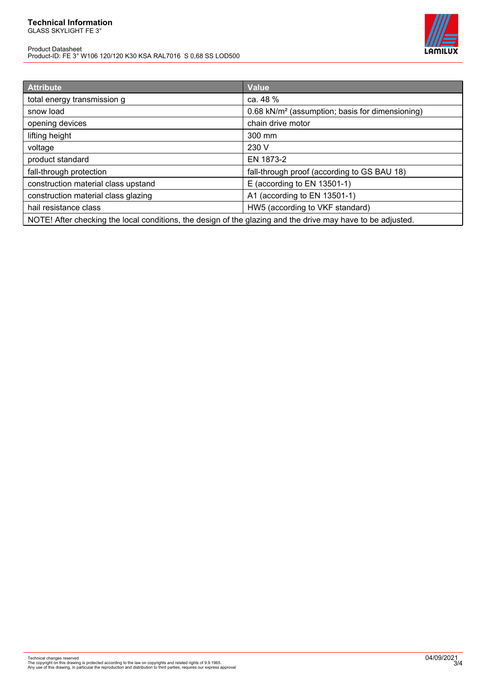# **Technical Information**

GLASS SKYLIGHT FE 3°

Product Datasheet Product-ID: FE 3° W106 120/120 K30 KSA RAL7016 S 0,68 SS LOD500



| <b>Attribute</b>                                                                                            | <b>Value</b>                                                |
|-------------------------------------------------------------------------------------------------------------|-------------------------------------------------------------|
| total energy transmission g                                                                                 | ca. 48 %                                                    |
| snow load                                                                                                   | 0.68 kN/m <sup>2</sup> (assumption; basis for dimensioning) |
| opening devices                                                                                             | chain drive motor                                           |
| lifting height                                                                                              | 300 mm                                                      |
| voltage                                                                                                     | 230 V                                                       |
| product standard                                                                                            | EN 1873-2                                                   |
| fall-through protection                                                                                     | fall-through proof (according to GS BAU 18)                 |
| construction material class upstand                                                                         | E (according to EN 13501-1)                                 |
| construction material class glazing                                                                         | A1 (according to EN 13501-1)                                |
| hail resistance class                                                                                       | HW5 (according to VKF standard)                             |
| NOTE! After checking the local conditions, the design of the glazing and the drive may have to be adjusted. |                                                             |